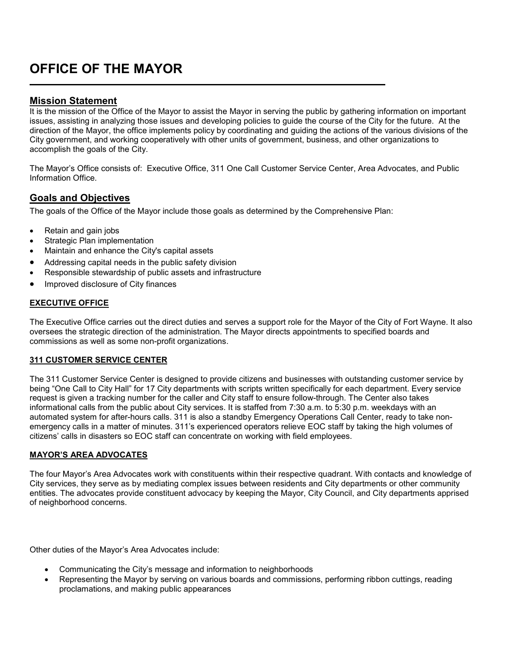# **OFFICE OF THE MAYOR**

## **Mission Statement**

L

It is the mission of the Office of the Mayor to assist the Mayor in serving the public by gathering information on important issues, assisting in analyzing those issues and developing policies to guide the course of the City for the future. At the direction of the Mayor, the office implements policy by coordinating and guiding the actions of the various divisions of the City government, and working cooperatively with other units of government, business, and other organizations to accomplish the goals of the City.

The Mayor's Office consists of: Executive Office, 311 One Call Customer Service Center, Area Advocates, and Public Information Office.

### **Goals and Objectives**

The goals of the Office of the Mayor include those goals as determined by the Comprehensive Plan:

- Retain and gain jobs
- Strategic Plan implementation
- Maintain and enhance the City's capital assets
- Addressing capital needs in the public safety division
- Responsible stewardship of public assets and infrastructure
- Improved disclosure of City finances

#### **EXECUTIVE OFFICE**

The Executive Office carries out the direct duties and serves a support role for the Mayor of the City of Fort Wayne. It also oversees the strategic direction of the administration. The Mayor directs appointments to specified boards and commissions as well as some non-profit organizations.

#### **311 CUSTOMER SERVICE CENTER**

The 311 Customer Service Center is designed to provide citizens and businesses with outstanding customer service by being "One Call to City Hall" for 17 City departments with scripts written specifically for each department. Every service request is given a tracking number for the caller and City staff to ensure follow-through. The Center also takes informational calls from the public about City services. It is staffed from 7:30 a.m. to 5:30 p.m. weekdays with an automated system for after-hours calls. 311 is also a standby Emergency Operations Call Center, ready to take nonemergency calls in a matter of minutes. 311's experienced operators relieve EOC staff by taking the high volumes of citizens' calls in disasters so EOC staff can concentrate on working with field employees.

#### **MAYOR'S AREA ADVOCATES**

The four Mayor's Area Advocates work with constituents within their respective quadrant. With contacts and knowledge of City services, they serve as by mediating complex issues between residents and City departments or other community entities. The advocates provide constituent advocacy by keeping the Mayor, City Council, and City departments apprised of neighborhood concerns.

Other duties of the Mayor's Area Advocates include:

- Communicating the City's message and information to neighborhoods
- Representing the Mayor by serving on various boards and commissions, performing ribbon cuttings, reading proclamations, and making public appearances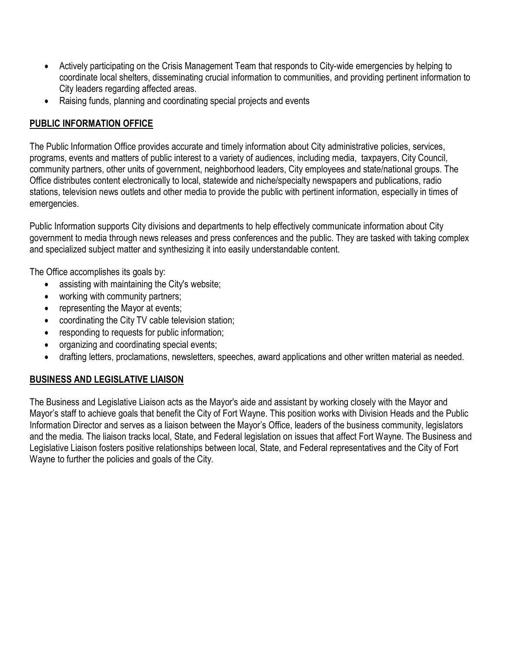- Actively participating on the Crisis Management Team that responds to City-wide emergencies by helping to coordinate local shelters, disseminating crucial information to communities, and providing pertinent information to City leaders regarding affected areas.
- Raising funds, planning and coordinating special projects and events

## **PUBLIC INFORMATION OFFICE**

The Public Information Office provides accurate and timely information about City administrative policies, services, programs, events and matters of public interest to a variety of audiences, including media, taxpayers, City Council, community partners, other units of government, neighborhood leaders, City employees and state/national groups. The Office distributes content electronically to local, statewide and niche/specialty newspapers and publications, radio stations, television news outlets and other media to provide the public with pertinent information, especially in times of emergencies.

Public Information supports City divisions and departments to help effectively communicate information about City government to media through news releases and press conferences and the public. They are tasked with taking complex and specialized subject matter and synthesizing it into easily understandable content.

The Office accomplishes its goals by:

- assisting with maintaining the City's website;
- working with community partners;
- representing the Mayor at events;
- coordinating the City TV cable television station;
- responding to requests for public information;
- organizing and coordinating special events;
- drafting letters, proclamations, newsletters, speeches, award applications and other written material as needed.

# **BUSINESS AND LEGISLATIVE LIAISON**

The Business and Legislative Liaison acts as the Mayor's aide and assistant by working closely with the Mayor and Mayor's staff to achieve goals that benefit the City of Fort Wayne. This position works with Division Heads and the Public Information Director and serves as a liaison between the Mayor's Office, leaders of the business community, legislators and the media. The liaison tracks local, State, and Federal legislation on issues that affect Fort Wayne. The Business and Legislative Liaison fosters positive relationships between local, State, and Federal representatives and the City of Fort Wayne to further the policies and goals of the City.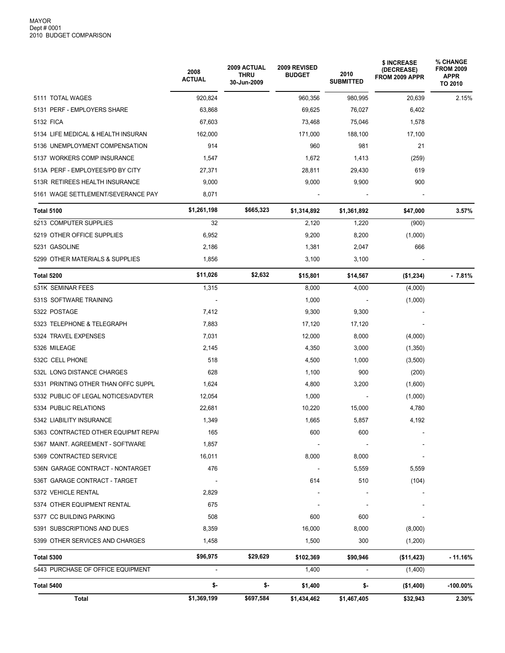|                                     | 2008<br><b>ACTUAL</b> | 2009 ACTUAL<br><b>THRU</b><br>30-Jun-2009 | 2009 REVISED<br><b>BUDGET</b> | 2010<br><b>SUBMITTED</b> | \$ INCREASE<br>(DECREASE)<br>FROM 2009 APPR | % CHANGE<br><b>FROM 2009</b><br><b>APPR</b><br>TO 2010 |
|-------------------------------------|-----------------------|-------------------------------------------|-------------------------------|--------------------------|---------------------------------------------|--------------------------------------------------------|
| 5111 TOTAL WAGES                    | 920,824               |                                           | 960,356                       | 980,995                  | 20,639                                      | 2.15%                                                  |
| 5131 PERF - EMPLOYERS SHARE         | 63,868                |                                           | 69,625                        | 76,027                   | 6,402                                       |                                                        |
| 5132 FICA                           | 67,603                |                                           | 73,468                        | 75,046                   | 1,578                                       |                                                        |
| 5134 LIFE MEDICAL & HEALTH INSURAN  | 162,000               |                                           | 171,000                       | 188,100                  | 17,100                                      |                                                        |
| 5136 UNEMPLOYMENT COMPENSATION      | 914                   |                                           | 960                           | 981                      | 21                                          |                                                        |
| 5137 WORKERS COMP INSURANCE         | 1,547                 |                                           | 1,672                         | 1,413                    | (259)                                       |                                                        |
| 513A PERF - EMPLOYEES/PD BY CITY    | 27,371                |                                           | 28,811                        | 29,430                   | 619                                         |                                                        |
| 513R RETIREES HEALTH INSURANCE      | 9,000                 |                                           | 9,000                         | 9,900                    | 900                                         |                                                        |
| 5161 WAGE SETTLEMENT/SEVERANCE PAY  | 8,071                 |                                           |                               |                          |                                             |                                                        |
| <b>Total 5100</b>                   | \$1,261,198           | \$665,323                                 | \$1,314,892                   | \$1,361,892              | \$47,000                                    | 3.57%                                                  |
| 5213 COMPUTER SUPPLIES              | 32                    |                                           | 2,120                         | 1,220                    | (900)                                       |                                                        |
| 5219 OTHER OFFICE SUPPLIES          | 6,952                 |                                           | 9,200                         | 8,200                    | (1,000)                                     |                                                        |
| 5231 GASOLINE                       | 2,186                 |                                           | 1,381                         | 2,047                    | 666                                         |                                                        |
| 5299 OTHER MATERIALS & SUPPLIES     | 1,856                 |                                           | 3,100                         | 3,100                    |                                             |                                                        |
| Total 5200                          | \$11,026              | \$2,632                                   | \$15,801                      | \$14,567                 | (\$1,234)                                   | $-7.81%$                                               |
| 531K SEMINAR FEES                   | 1,315                 |                                           | 8,000                         | 4,000                    | (4,000)                                     |                                                        |
| 531S SOFTWARE TRAINING              |                       |                                           | 1,000                         |                          | (1,000)                                     |                                                        |
| 5322 POSTAGE                        | 7,412                 |                                           | 9,300                         | 9,300                    |                                             |                                                        |
| 5323 TELEPHONE & TELEGRAPH          | 7,883                 |                                           | 17,120                        | 17,120                   |                                             |                                                        |
| 5324 TRAVEL EXPENSES                | 7,031                 |                                           | 12,000                        | 8,000                    | (4,000)                                     |                                                        |
| 5326 MILEAGE                        | 2,145                 |                                           | 4,350                         | 3,000                    | (1,350)                                     |                                                        |
| 532C CELL PHONE                     | 518                   |                                           | 4,500                         | 1,000                    | (3,500)                                     |                                                        |
| 532L LONG DISTANCE CHARGES          | 628                   |                                           | 1,100                         | 900                      | (200)                                       |                                                        |
| 5331 PRINTING OTHER THAN OFFC SUPPL | 1,624                 |                                           | 4,800                         | 3,200                    | (1,600)                                     |                                                        |
| 5332 PUBLIC OF LEGAL NOTICES/ADVTER | 12,054                |                                           | 1,000                         |                          | (1,000)                                     |                                                        |
| 5334 PUBLIC RELATIONS               | 22,681                |                                           | 10,220                        | 15,000                   | 4,780                                       |                                                        |
| 5342 LIABILITY INSURANCE            | 1,349                 |                                           | 1,665                         | 5,857                    | 4,192                                       |                                                        |
| 5363 CONTRACTED OTHER EQUIPMT REPAI | 165                   |                                           | 600                           | 600                      |                                             |                                                        |
| 5367 MAINT. AGREEMENT - SOFTWARE    | 1,857                 |                                           |                               |                          |                                             |                                                        |
| 5369 CONTRACTED SERVICE             | 16,011                |                                           | 8,000                         | 8,000                    |                                             |                                                        |
| 536N GARAGE CONTRACT - NONTARGET    | 476                   |                                           |                               | 5,559                    | 5,559                                       |                                                        |
| 536T GARAGE CONTRACT - TARGET       |                       |                                           | 614                           | 510                      | (104)                                       |                                                        |
| 5372 VEHICLE RENTAL                 | 2,829                 |                                           |                               |                          |                                             |                                                        |
| 5374 OTHER EQUIPMENT RENTAL         | 675                   |                                           |                               |                          |                                             |                                                        |
| 5377 CC BUILDING PARKING            | 508                   |                                           | 600                           | 600                      |                                             |                                                        |
| 5391 SUBSCRIPTIONS AND DUES         | 8,359                 |                                           | 16,000                        | 8,000                    | (8,000)                                     |                                                        |
| 5399 OTHER SERVICES AND CHARGES     | 1,458                 |                                           | 1,500                         | 300                      | (1,200)                                     |                                                        |
| Total 5300                          | \$96,975              | \$29,629                                  | \$102,369                     | \$90,946                 | (\$11,423)                                  | $-11.16%$                                              |
| 5443 PURCHASE OF OFFICE EQUIPMENT   | $\blacksquare$        |                                           | 1,400                         | $\overline{\phantom{a}}$ | (1,400)                                     |                                                        |
| Total 5400                          | \$-                   | \$-                                       | \$1,400                       | \$-                      | (\$1,400)                                   | $-100.00\%$                                            |
| Total                               | \$1,369,199           | \$697,584                                 | \$1,434,462                   | \$1,467,405              | \$32,943                                    | 2.30%                                                  |